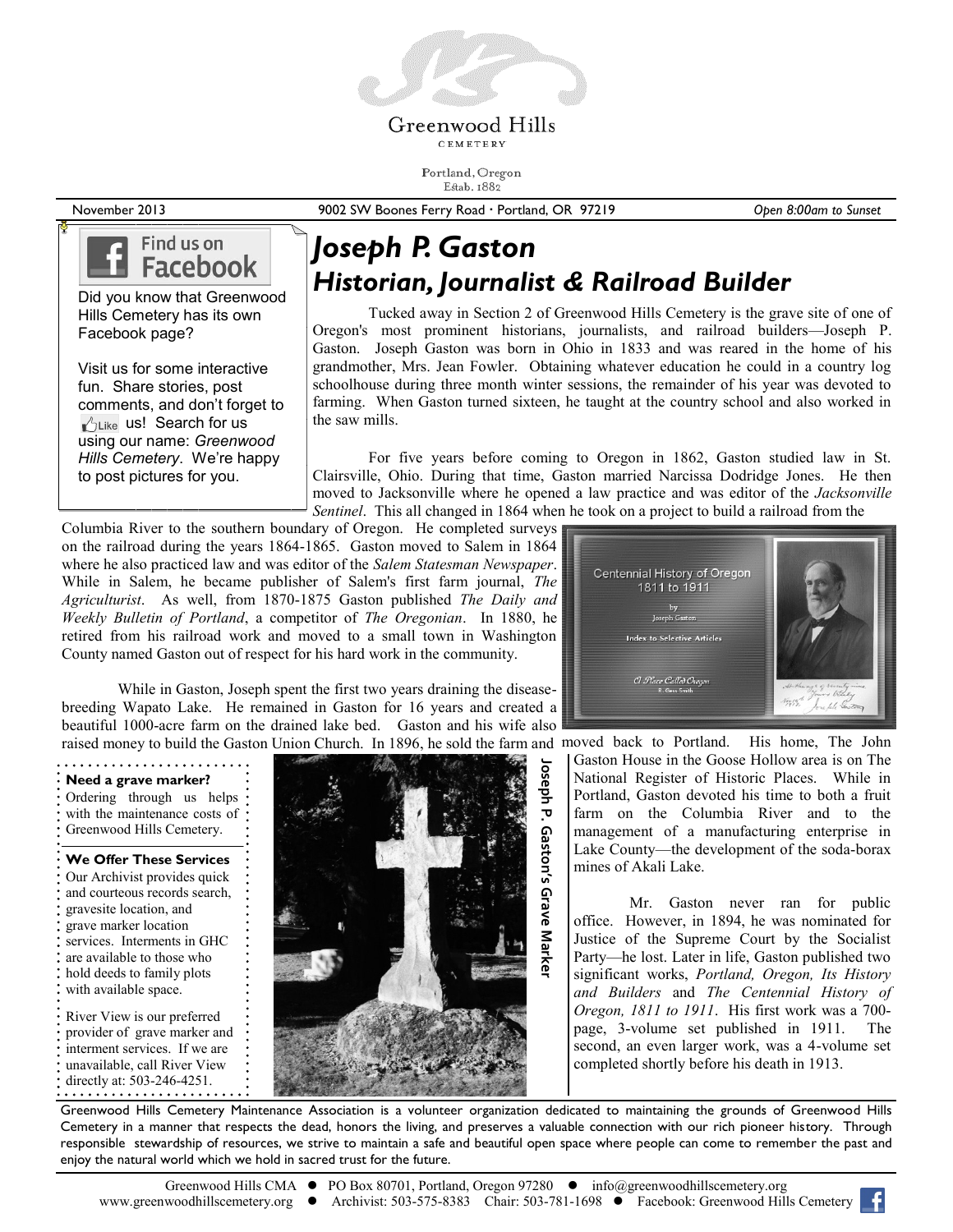

CEMETERY

Portland, Oregon Estab. 1882

November 2013 9002 SW Boones Ferry Road Portland, OR 97219 *Open 8:00am to Sunset*

### Find us on **Facebook**

Did you know that Greenwood Hills Cemetery has its own Facebook page?

Visit us for some interactive fun. Share stories, post comments, and don't forget to  $\mathbb{I}^{\wedge}$ Like us! Search for us using our name: *Greenwood Hills Cemetery*. We're happy to post pictures for you.

# *Joseph P. Gaston Historian, Journalist & Railroad Builder*

Tucked away in Section 2 of Greenwood Hills Cemetery is the grave site of one of Oregon's most prominent historians, journalists, and railroad builders—Joseph P. Gaston. Joseph Gaston was born in Ohio in 1833 and was reared in the home of his grandmother, Mrs. Jean Fowler. Obtaining whatever education he could in a country log schoolhouse during three month winter sessions, the remainder of his year was devoted to farming. When Gaston turned sixteen, he taught at the country school and also worked in the saw mills.

For five years before coming to Oregon in 1862, Gaston studied law in St. Clairsville, Ohio. During that time, Gaston married Narcissa Dodridge Jones. He then moved to Jacksonville where he opened a law practice and was editor of the *Jacksonville Sentinel*. This all changed in 1864 when he took on a project to build a railroad from the

Columbia River to the southern boundary of Oregon. He completed surveys on the railroad during the years 1864-1865. Gaston moved to Salem in 1864 where he also practiced law and was editor of the *Salem Statesman Newspaper*. While in Salem, he became publisher of Salem's first farm journal, *The Agriculturist*. As well, from 1870-1875 Gaston published *The Daily and Weekly Bulletin of Portland*, a competitor of *The Oregonian*. In 1880, he retired from his railroad work and moved to a small town in Washington County named Gaston out of respect for his hard work in the community.

raised money to build the Gaston Union Church. In 1896, he sold the farm and moved back to Portland. His home, The John While in Gaston, Joseph spent the first two years draining the diseasebreeding Wapato Lake. He remained in Gaston for 16 years and created a beautiful 1000-acre farm on the drained lake bed. Gaston and his wife also

#### **Need a grave marker?** Ordering through us helps with the maintenance costs of Greenwood Hills Cemetery.

**We Offer These Services** Our Archivist provides quick and courteous records search, gravesite location, and grave marker location services. Interments in GHC are available to those who hold deeds to family plots with available space. River View is our preferred provider of grave marker and interment services. If we are unavailable, call River View directly at: 503-246-4251.



Centennial History of Oregon 1811 to 1911 .<br>I Place Called Ou Joseph Se

Gaston House in the Goose Hollow area is on The National Register of Historic Places. While in Portland, Gaston devoted his time to both a fruit farm on the Columbia River and to the management of a manufacturing enterprise in Lake County—the development of the soda-borax mines of Akali Lake.

Mr. Gaston never ran for public office. However, in 1894, he was nominated for Justice of the Supreme Court by the Socialist Party—he lost. Later in life, Gaston published two significant works, *Portland, Oregon, Its History and Builders* and *The Centennial History of Oregon, 1811 to 1911*. His first work was a 700 page, 3-volume set published in 1911. The second, an even larger work, was a 4-volume set completed shortly before his death in 1913.

Greenwood Hills Cemetery Maintenance Association is a volunteer organization dedicated to maintaining the grounds of Greenwood Hills Cemetery in a manner that respects the dead, honors the living, and preserves a valuable connection with our rich pioneer history. Through responsible stewardship of resources, we strive to maintain a safe and beautiful open space where people can come to remember the past and enjoy the natural world which we hold in sacred trust for the future.